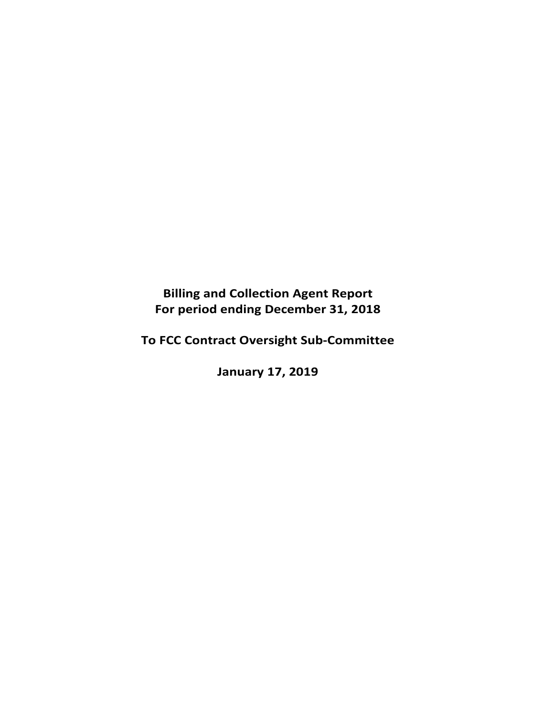# **Billing and Collection Agent Report For period ending December 31, 2018**

**To FCC Contract Oversight Sub‐Committee** 

**January 17, 2019**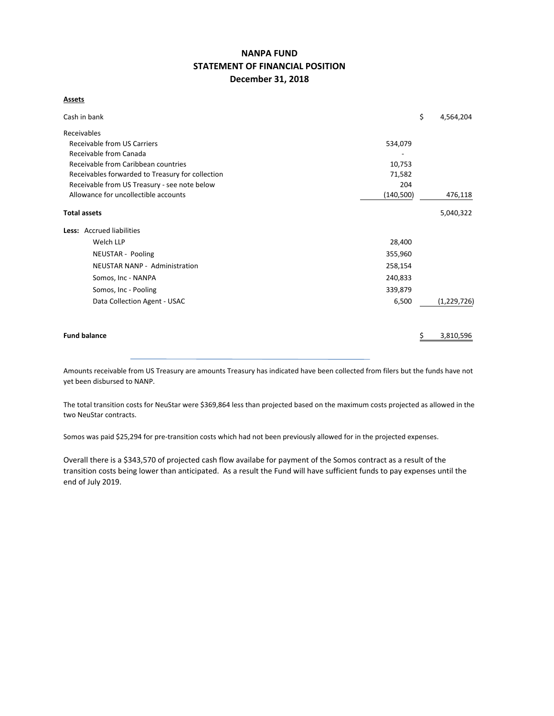# **NANPA FUND STATEMENT OF FINANCIAL POSITION December 31, 2018**

#### **Assets**

| Cash in bank                                               |            | \$ | 4,564,204   |  |  |  |
|------------------------------------------------------------|------------|----|-------------|--|--|--|
| Receivables                                                |            |    |             |  |  |  |
| Receivable from US Carriers                                | 534,079    |    |             |  |  |  |
| Receivable from Canada                                     |            |    |             |  |  |  |
| Receivable from Caribbean countries                        |            |    |             |  |  |  |
| Receivables forwarded to Treasury for collection<br>71,582 |            |    |             |  |  |  |
| Receivable from US Treasury - see note below<br>204        |            |    |             |  |  |  |
| Allowance for uncollectible accounts                       | (140, 500) |    | 476,118     |  |  |  |
| <b>Total assets</b>                                        |            |    | 5,040,322   |  |  |  |
| Less: Accrued liabilities                                  |            |    |             |  |  |  |
| Welch LLP                                                  | 28,400     |    |             |  |  |  |
| NEUSTAR - Pooling                                          | 355,960    |    |             |  |  |  |
| NEUSTAR NANP - Administration                              | 258,154    |    |             |  |  |  |
| Somos, Inc - NANPA                                         | 240,833    |    |             |  |  |  |
| Somos, Inc - Pooling                                       | 339,879    |    |             |  |  |  |
| Data Collection Agent - USAC                               | 6,500      |    | (1,229,726) |  |  |  |
| <b>Fund balance</b>                                        |            |    | 3,810,596   |  |  |  |
|                                                            |            |    |             |  |  |  |

Amounts receivable from US Treasury are amounts Treasury has indicated have been collected from filers but the funds have not yet been disbursed to NANP.

The total transition costs for NeuStar were \$369,864 less than projected based on the maximum costs projected as allowed in the two NeuStar contracts.

Somos was paid \$25,294 for pre-transition costs which had not been previously allowed for in the projected expenses.

Overall there is a \$343,570 of projected cash flow availabe for payment of the Somos contract as a result of the transition costs being lower than anticipated. As a result the Fund will have sufficient funds to pay expenses until the end of July 2019.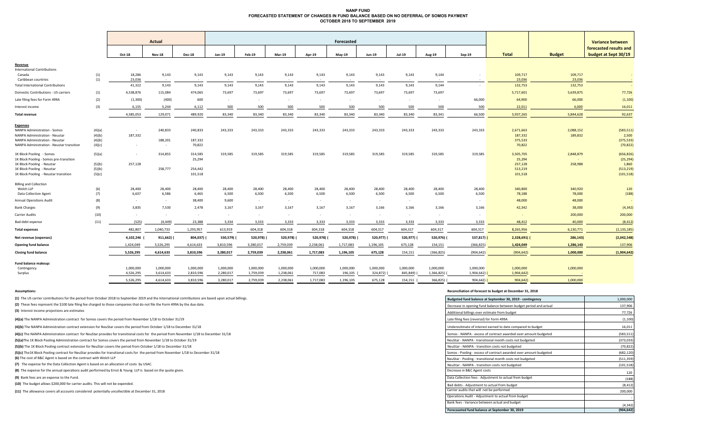### **NANP FUND FORECASTED STATEMENT OF CHANGES IN FUND BALANCE BASED ON NO DEFERRAL OF SOMOS PAYMENT OCTOBER 2018 TO SEPTEMBER 2019**

|                                                        |        |           | Actual        |               | Forecasted    |                             |               |           |               |           |               | <b>Variance between</b> |             |               |               |                                                |
|--------------------------------------------------------|--------|-----------|---------------|---------------|---------------|-----------------------------|---------------|-----------|---------------|-----------|---------------|-------------------------|-------------|---------------|---------------|------------------------------------------------|
|                                                        |        | Oct-18    | <b>Nov-18</b> | <b>Dec-18</b> | Jan-19        | <b>Feb-19</b>               | <b>Mar-19</b> | Apr-19    | $May-19$      | Jun-19    | <b>Jul-19</b> | Aug-19                  | $Sep-19$    | <b>Total</b>  | <b>Budget</b> | forecasted results and<br>budget at Sept 30/19 |
| Revenue                                                |        |           |               |               |               |                             |               |           |               |           |               |                         |             |               |               |                                                |
| <b>International Contributions</b>                     |        |           |               |               |               |                             |               |           |               |           |               |                         |             |               |               |                                                |
| Canada                                                 | (1)    | 18,286    | 9,143         | 9,143         | 9,143         | 9,143                       | 9,143         | 9,143     | 9,143         | 9,143     | 9,143         | 9,144                   | $\sim$      | 109,717       | 109,717       | $\sim$                                         |
| Caribbean countries                                    | (1)    | 23,036    | $\sim$        | $\sim$        | $\sim$ $\sim$ | <b><i><u>Part 1</u></i></b> | $\sim$ $-$    | $\sim$    | $\sim$ $\sim$ | $\sim$    | $\sim$ $\sim$ | $\sim 100$              |             | 23,036        | 23,036        |                                                |
| <b>Total International Contributions</b>               |        | 41,322    | 9,143         | 9,143         | 9,143         | 9,143                       | 9,143         | 9,143     | 9,143         | 9,143     | 9,143         | 9,144                   | $\sim$      | 132,753       | 132,753       | $\sim 10^{-1}$                                 |
| Domestic Contributions - US carriers                   | (1)    | 4,538,876 | 115,084       | 474,065       | 73,697        | 73,697                      | 73,697        | 73,697    | 73,697        | 73,697    | 73,697        | 73,697                  |             | 5,717,601     | 5,639,875     | 77,726                                         |
| Late filing fees for Form 499A                         | (2)    | (1,300)   | (400)         | 600           | $\sim$        | $\sim$ $\sim$               | $\sim$        | $\sim$    | $\sim$        | $\sim$    | $\sim$        | $\sim$ $\sim$           | 66,000      | 64,900        | 66,000        | (1, 100)                                       |
| Interest income                                        | (3)    | 6,155     | 5,244         | 6,112         | 500           | 500                         | 500           | 500       | 500           | 500       | 500           | 500                     | 500         | 22,011        | 6,000         | 16,011                                         |
| Total revenue                                          |        | 4,585,053 | 129,071       | 489,920       | 83,340        | 83,340                      | 83,340        | 83,340    | 83,340        | 83,340    | 83,340        | 83,341                  | 66,500      | 5,937,265     | 5,844,628     | 92,637                                         |
|                                                        |        |           |               |               |               |                             |               |           |               |           |               |                         |             |               |               |                                                |
| <b>Expenses</b><br><b>NANPA Administration - Somos</b> | (4)(a) | $\sim$    | 240,833       | 240,833       | 243,333       | 243,333                     | 243,333       | 243,333   | 243,333       | 243,333   | 243,333       | 243,333                 | 243,333     | 2,671,663     | 2,088,152     | (583, 511)                                     |
| <b>NANPA Administration - Neustar</b>                  | (4)(b) | 187,332   |               |               |               |                             |               |           |               |           |               |                         |             | 187,332       | 189,832       | 2,500                                          |
| NANPA Administration - Neustar                         | (4)(b) |           | 188,201       | 187,332       |               |                             |               |           |               |           |               |                         |             | 375,533       |               | (375, 533)                                     |
| NANPA Administration - Neustar transition              | (4)(c) | $\sim$    | $\sim$        | 70,822        |               |                             |               |           |               |           |               |                         |             | 70,822        |               | (70, 822)                                      |
| 1K Block Pooling - Somos                               | (5)(a) | $\sim$    | 314,855       | 314,585       | 319,585       | 319,585                     | 319,585       | 319,585   | 319,585       | 319,585   | 319,585       | 319,585                 | 319,585     | 3,505,705     | 2,848,879     | (656, 826)                                     |
| 1K Block Pooling - Somos pre-transition                |        |           |               | 25,294        |               |                             |               |           |               |           |               |                         |             | 25,294        |               | (25, 294)                                      |
| 1K Block Pooling - Neustar                             | (5)(b) | 257,128   |               |               |               |                             |               |           |               |           |               |                         |             | 257,128       | 258,988       | 1,860                                          |
| 1K Block Pooling - Neustar                             | (5)(b) |           | 258,777       | 254,442       |               |                             |               |           |               |           |               |                         |             | 513,219       |               | (513, 219)                                     |
| 1K Block Pooling - Neustar transition                  | (5)(c) |           |               | 101,518       |               |                             |               |           |               |           |               |                         |             | 101,518       |               | (101, 518)                                     |
| <b>Billing and Collection</b>                          |        |           |               |               |               |                             |               |           |               |           |               |                         |             |               |               |                                                |
| Welch LLP                                              | (6)    | 28,400    | 28,400        | 28,400        | 28,400        | 28,400                      | 28,400        | 28,400    | 28,400        | 28,400    | 28,400        | 28,400                  | 28,400      | 340,800       | 340,920       | 120                                            |
| Data Collection Agent                                  | (7)    | 6,637     | 6,586         | 6,465         | 6,500         | 6,500                       | 6,500         | 6,500     | 6,500         | 6,500     | 6,500         | 6,500                   | 6,500       | 78,188        | 78,000        | (188)                                          |
| <b>Annual Operations Audit</b>                         | (8)    | $\sim$    | $\sim$        | 38,400        | 9,600         | $\sim$                      | $\sim$        | $\sim$    | $\sim$        | $\sim$    | $\sim$        |                         | $\sim$      | 48,000        | 48,000        |                                                |
| <b>Bank Charges</b>                                    | (9)    | 3,835     | 7,530         | 2,478         | 3,167         | 3,167                       | 3,167         | 3,167     | 3,167         | 3,166     | 3,166         | 3,166                   | 3,166       | 42,342        | 38,000        | (4, 342)                                       |
| <b>Carrier Audits</b>                                  | (10)   | $\sim$    | $\sim$        | $\sim$        | $\sim$        | $\sim$                      | $\sim$        | $\sim$    | $\sim$        | $\sim$    | $\sim$        | $\sim$                  | $\sim$      | $\sim$        | 200,000       | 200,000                                        |
| Bad debt expense                                       | (11)   | (525)     | (4, 449)      | 23,388        | 3,334         | 3,333                       | 3,333         | 3,333     | 3,333         | 3,333     | 3,333         | 3,333                   | 3,333       | 48,412        | 40,000        | (8, 412)                                       |
| <b>Total expenses</b>                                  |        | 482,807   | 1,040,733     | 1,293,957     | 613,919       | 604,318                     | 604,318       | 604,318   | 604,318       | 604,317   | 604,317       | 604,317                 | 604,317     | 8,265,956     | 6,130,771     | (2, 135, 185)                                  |
| Net revenue (expenses)                                 |        | 4,102,246 | 911,662)      | 804,037)      | 530,579)      | 520,978)                    | 520,978)      | 520,978)  | 520,978)      | 520,977)  | 520,977)      | 520,976) (              | $537,817$ ) | $2,328,691$ ( | 286,143)      | (2,042,548)                                    |
| <b>Opening fund balance</b>                            |        | 1,424,049 | 5,526,295     | 4,614,633     | 3,810,596     | 3,280,017                   | 2,759,039     | 2,238,061 | 1,717,083     | 1,196,105 | 675,128       | 154,151                 | (366, 825)  | 1,424,049     | 1,286,143     | 137,906                                        |
| <b>Closing fund balance</b>                            |        | 5,526,295 | 4,614,633     | 3,810,596     | 3,280,017     | 2,759,039                   | 2,238,061     | 1,717,083 | 1,196,105     | 675,128   | 154,151       | (366, 825)              | (904, 642)  | (904, 642)    | 1,000,000     | (1,904,642)                                    |
| Fund balance makeup:                                   |        |           |               |               |               |                             |               |           |               |           |               |                         |             |               |               |                                                |
| Contingency                                            |        | 1,000,000 | 1,000,000     | 1,000,000     | 1,000,000     | 1,000,000                   | 1,000,000     | 1,000,000 | 1,000,000     | 1,000,000 | 1,000,000     | 1,000,000               | 1,000,000   | 1,000,000     | 1,000,000     |                                                |
| Surplus                                                |        | 4,526,295 | 3,614,633     | 2,810,596     | 2,280,017     | 1,759,039                   | 1,238,061     | 717,083   | 196,105       | 324,872)  | 845,849)      | 1,366,825)              | 1,904,642)  | 1,904,642)    |               |                                                |
|                                                        |        |           |               |               |               |                             |               |           |               |           |               |                         |             |               |               |                                                |
|                                                        |        | 5,526,295 | 4,614,633     | 3,810,596     | 3,280,017     | 2,759,039                   | 2,238,061     | 1,717,083 | 1,196,105     | 675,128   | 154,151       | 366,825)                | 904,642     | 904,642)      | 1,000,000     |                                                |

#### **Assumptions: Reconciliation of forecast to budget at December 31, 2018**

| (1) The US carrier contributions for the period from October 2018 to September 2019 and the International contributions are based upon actual billings. | Budgeted fund balance at September 30, 2019 - contingency         | 1,000,000  |
|---------------------------------------------------------------------------------------------------------------------------------------------------------|-------------------------------------------------------------------|------------|
| (2) These fees represent the \$100 late filing fee charged to those companies that do not file the Form 499A by the due date.                           | Decrease in opening fund balance between budget period and actual | 137,906    |
| (3) Interest income projections are estimates                                                                                                           | Additional billings over estimate from budget                     | 77,726     |
| (4)(a) The NANPA Administration contract for Somos covers the period from November 1/18 to October 31/19                                                | Late filing fees (reversal) for Form 499A                         | (1, 100)   |
| (4)(b) The NANPA Administration contract extension for NeuStar covers the period from October 1/18 to December 31/18                                    | Underestimate of interest earned to date compared to budget       | 16,011     |
| (4)(c) The NANPA Administration contract for NeuStar provides for transitional costs for the period from November 1/18 to December 31/18                | Somos - NANPA - excess of contract awarded over amount budgeted   | (583, 511) |
| (5)(a)The 1K Block Pooling Administration contract for Somos covers the period from November 1/18 to October 31/19                                      | NeuStar - NANPA - transitional month costs not budgeted           | (373, 033) |
| (5)(b) The 1K Block Pooling contract extension for NeuStar covers the period from October 1/18 to December 31/18                                        | NeuStar - NANPA - transition costs not budgeted                   | (70,822    |
| (5)(c) The1K Block Pooling contract for NeuStar provides for transitional costs for the period from November 1/18 to December 31/18                     | Somos - Pooling - excess of contract awarded over amount budgeted | (682, 120) |
| (6) The cost of B&C Agent is based on the contract with Welch LLP                                                                                       | NeuStar - Pooling - transitional month costs not budgeted         | (511, 359) |
| (7) The expense for the Data Collection Agent is based on an allocation of costs by USAC.                                                               | NeuStar - NANPA - transition costs not budgeted                   | (101, 518) |
| (8) The expense for the annual operations audit performed by Ernst & Young LLP is based on the quote given.                                             | Decrease in B&C Agent costs                                       | 120        |
| (9) Bank fees are an expense to the Fund.                                                                                                               | Data Collection fees - Adjustment to actual from budget           | (188)      |
| (10) The budget allows \$200,000 for carrier audits. This will not be expended.                                                                         | Bad debts - Adjustment to actual from budget                      | (8, 41)    |
| (11) The allowance covers all accounts considered potentially uncollectible at December 31, 2018                                                        | Carrier audits that will not be performed                         | 200,000    |
|                                                                                                                                                         | Operations Audit - Adjustment to actual from budget               |            |
|                                                                                                                                                         | Bank fees - Variance between actual and budget                    | (4, 342)   |
|                                                                                                                                                         | Forecaseted fund balance at September 30, 2019                    | (904, 642) |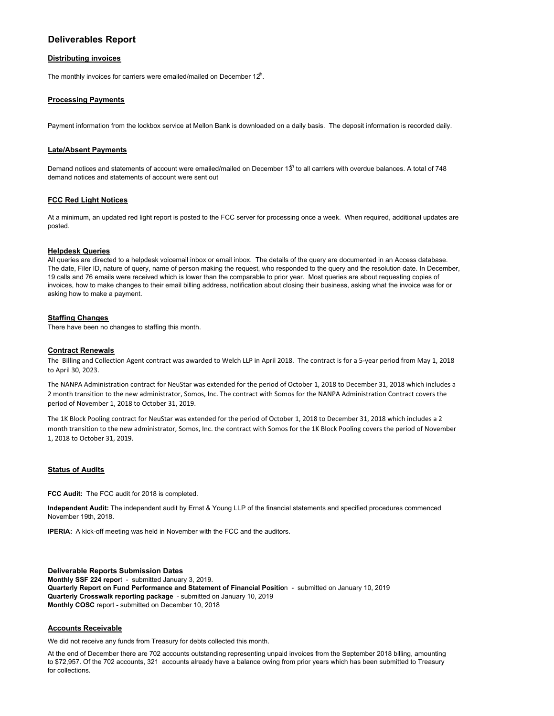## **Deliverables Report**

#### **Distributing invoices**

The monthly invoices for carriers were emailed/mailed on December  $12<sup>th</sup>$ .

#### **Processing Payments**

Payment information from the lockbox service at Mellon Bank is downloaded on a daily basis. The deposit information is recorded daily.

#### **Late/Absent Payments**

Demand notices and statements of account were emailed/mailed on December 13<sup>th</sup> to all carriers with overdue balances. A total of 748 demand notices and statements of account were sent out

#### **FCC Red Light Notices**

At a minimum, an updated red light report is posted to the FCC server for processing once a week. When required, additional updates are posted.

#### **Helpdesk Queries**

All queries are directed to a helpdesk voicemail inbox or email inbox. The details of the query are documented in an Access database. The date, Filer ID, nature of query, name of person making the request, who responded to the query and the resolution date. In December, 19 calls and 76 emails were received which is lower than the comparable to prior year. Most queries are about requesting copies of invoices, how to make changes to their email billing address, notification about closing their business, asking what the invoice was for or asking how to make a payment.

#### **Staffing Changes**

There have been no changes to staffing this month.

#### **Contract Renewals**

The Billing and Collection Agent contract was awarded to Welch LLP in April 2018. The contract is for a 5-year period from May 1, 2018 to April 30, 2023.

The NANPA Administration contract for NeuStar was extended for the period of October 1, 2018 to December 31, 2018 which includes a 2 month transition to the new administrator, Somos, Inc. The contract with Somos for the NANPA Administration Contract covers the period of November 1, 2018 to October 31, 2019.

The 1K Block Pooling contract for NeuStar was extended for the period of October 1, 2018 to December 31, 2018 which includes a 2 month transition to the new administrator, Somos, Inc. the contract with Somos for the 1K Block Pooling covers the period of November 1, 2018 to October 31, 2019.

#### **Status of Audits**

**FCC Audit:** The FCC audit for 2018 is completed.

**Independent Audit:** The independent audit by Ernst & Young LLP of the financial statements and specified procedures commenced November 19th, 2018.

**IPERIA:** A kick-off meeting was held in November with the FCC and the auditors.

**Deliverable Reports Submission Dates Monthly SSF 224 repor**t - submitted January 3, 2019. **Quarterly Report on Fund Performance and Statement of Financial Positio**n - submitted on January 10, 2019 **Quarterly Crosswalk reporting package** - submitted on January 10, 2019 **Monthly COSC** report - submitted on December 10, 2018

#### **Accounts Receivable**

We did not receive any funds from Treasury for debts collected this month.

At the end of December there are 702 accounts outstanding representing unpaid invoices from the September 2018 billing, amounting to \$72,957. Of the 702 accounts, 321 accounts already have a balance owing from prior years which has been submitted to Treasury for collections.